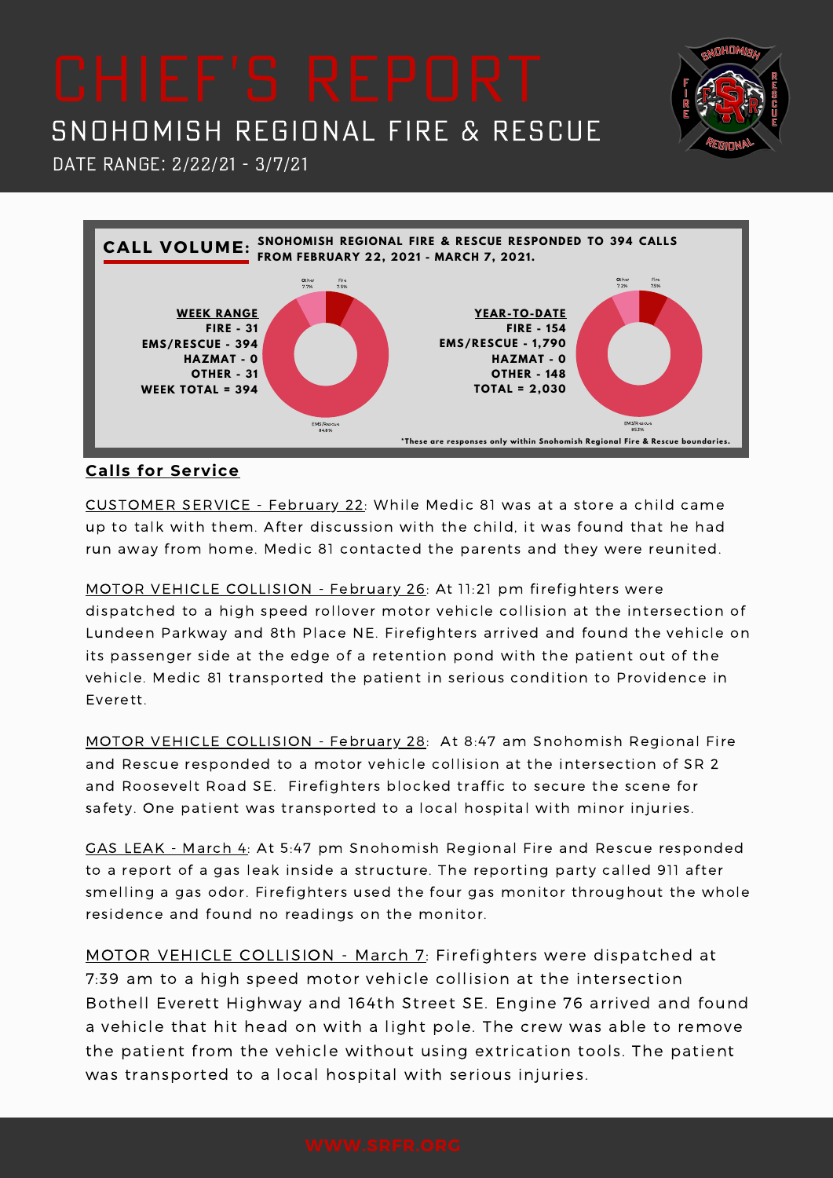**DHOM** 





### **Calls for Service**

CUSTOMER SERVICE - February 22: While Medic 81 was at a store a child came up to talk with them. After discussion with the child, it was found that he had run away from home. Medic 81 contacted the parents and they were reunited.

MOTOR VEHICLE COLLISION - February 26: At 11:21 pm firefighters were dispatched to a high speed rollover motor vehicle collision at the intersection of Lundeen Parkway and 8th Place NE. Firefighters arrived and found the vehicle on its passenger side at the edge of a retention pond with the patient out of the vehicle. Medic 81 transported the patient in serious condition to Providence in Everett.

MOTOR VEHICLE COLLISION - February 28: At 8:47 am Snohomish Regional Fire and Rescue responded to a motor vehicle collision at the intersection of SR 2 and Roosevelt Road SE. Firefighters blocked traffic to secure the scene for safety. One patient was transported to a local hospital with minor injuries.

GAS LEAK - March 4: At 5:47 pm Snohomish Regional Fire and Rescue responded to a report of a gas leak inside a structure. The reporting party called 911 after smelling a gas odor. Firefighters used the four gas monitor throughout the whole residence and found no readings on the monitor.

MOTOR VEHICLE COLLISION - March 7: Firefighters were dispatched at 7:39 am to a high speed motor vehicle collision at the intersection Bothell Everett Highway and 164th Street SE. Engine 76 arrived and found a vehicle that hit head on with a light pole. The crew was able to remove the patient from the vehicle without using extrication tools. The patient was transported to a local hospital with serious injuries.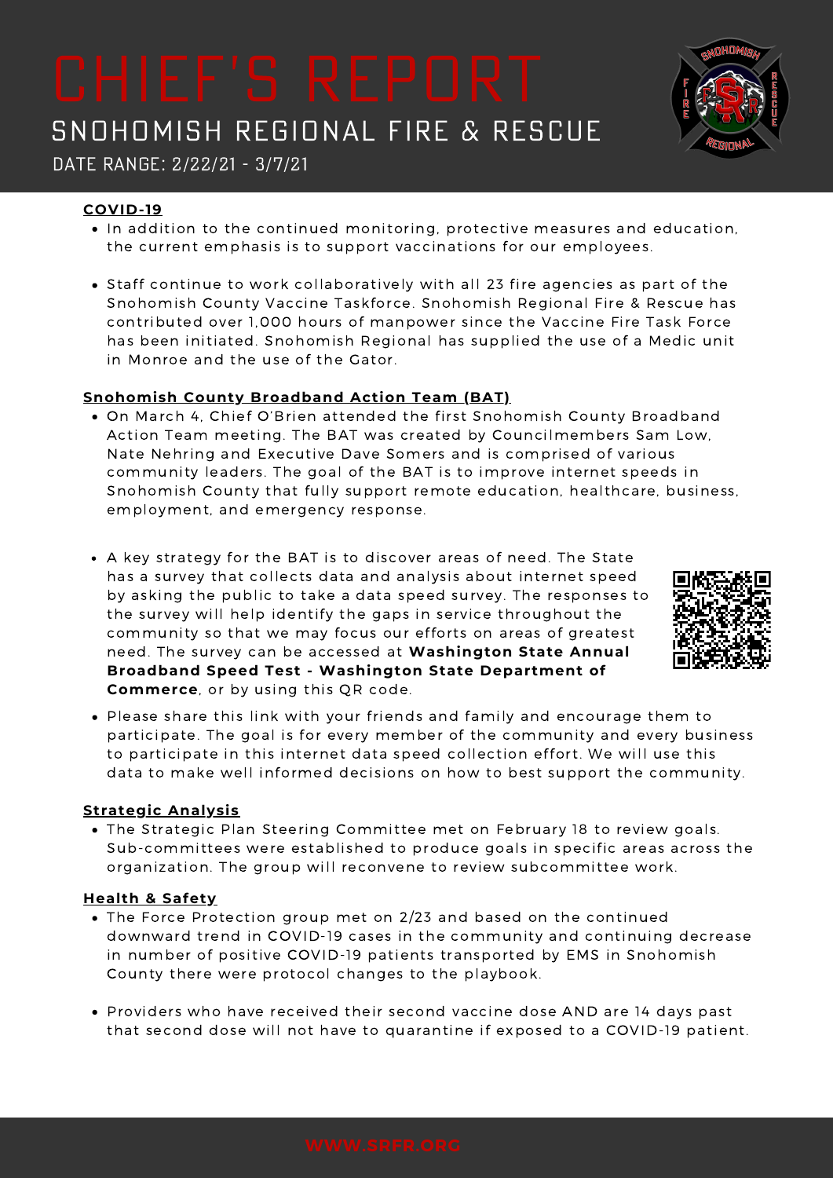Date Range: 2/22/21 - 3/7/21

### **COVID-19**

- $\bullet$  In addition to the continued monitoring, protective measures and education, the current emphasis is to support vaccinations for our employees.
- Staff continue to work collaboratively with all 23 fire agencies as part of the Snohomish County Vaccine Taskforce. Snohomish Regional Fire & Rescue has contributed over 1,000 hours of manpower since the Vaccine Fire Task Force has been initiated. Snohomish Regional has supplied the use of a Medic unit in Monroe and the use of the Gator.

### **Snohomish County Broadband Action Team (BAT)**

- On March 4, Chief O'Brien attended the first Snohomish County Broadband Action Team meeting. The BAT was created by Councilmembers Sam Low, Nate Nehring and Executive Dave Somers and is comprised of various community leaders. The goal of the BAT is to improve internet speeds in Snohomish County that fully support remote education, healthcare, business, employment, and emergency response.
- A key strategy for the BAT is to discover areas of need. The State has a survey that collects data and analysis about internet speed by asking the public to take a data speed survey. The responses to the survey will help identify the gaps in service throughout the community so that we may focus our efforts on areas of greatest need. The survey can be accessed at **[Washington](https://www.commerce.wa.gov/building-infrastructure/washington-statewide-broadband-act/speedtestsurvey/) State Annual Broadband Speed Test - Washington State Department of Commerce**, or by using this QR code.
- Please share this link with your friends and family and encourage them to participate. The goal is for every member of the community and every business to participate in this internet data speed collection effort. We will use this data to make well informed decisions on how to best support the community.

### **Strategic Analysis**

The Strategic Plan Steering Committee met on February 18 to review goals. Sub-committees were established to produce goals in specific areas across the organization. The group will reconvene to review subcommittee work.

### **Health & Safety**

- The Force Protection group met on 2/23 and based on the continued downward trend in COVID-19 cases in the community and continuing decrease in number of positive COVID-19 patients transported by EMS in Snohomish County there were protocol changes to the playbook.
- Providers who have received their second vaccine dose AND are 14 days past that second dose will not have to quarantine if exposed to a COVID-19 patient.



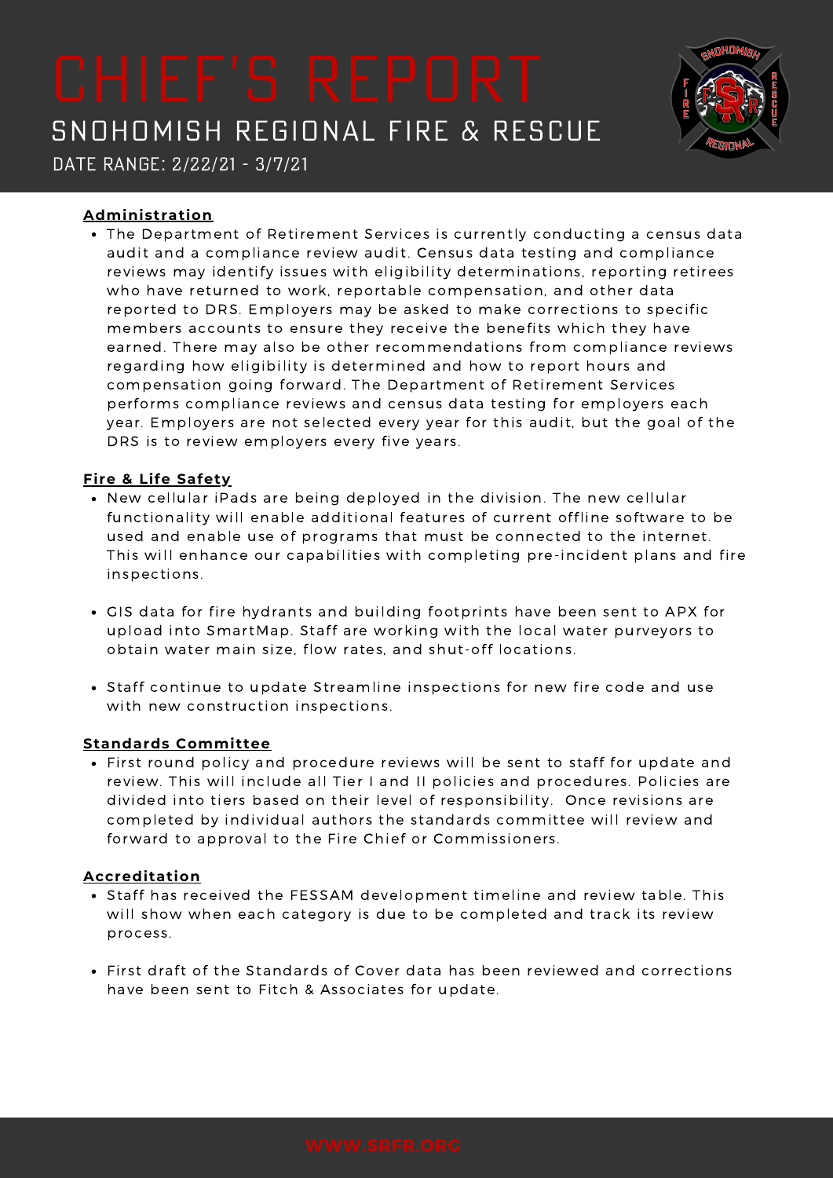

Date Range: 2/22/21 - 3/7/21

### **Administration**

The Department of Retirement Services is currently conducting a census data audit and a compliance review audit. Census data testing and compliance reviews may identify issues with eligibility determinations, reporting retirees who have returned to work, reportable compensation, and other data reported to DRS. Employers may be asked to make corrections to specific members accounts to ensure they receive the benefits which they have earned. There may also be other recommendations from compliance reviews regarding how eligibility is determined and how to report hours and compensation going forward. The Department of Retirement Services performs compliance reviews and census data testing for employers each year. Employers are not selected every year for this audit, but the goal of the DRS is to review employers every five years.

### **Fire & Life Safety**

- New cellular iPads are being deployed in the division. The new cellular functionality will enable additional features of current offline software to be used and enable use of programs that must be connected to the internet. This will enhance our capabilities with completing pre-incident plans and fire inspections.
- GIS data for fire hydrants and building footprints have been sent to APX for upload into SmartMap. Staff are working with the local water purveyors to obtain water main size, flow rates, and shut-off locations.
- Staff continue to update Streamline inspections for new fire code and use with new construction inspections.

### **Standards Committee**

First round policy and procedure reviews will be sent to staff for update and review. This will include all Tier I and II policies and procedures. Policies are divided into tiers based on their level of responsibility. Once revisions are completed by individual authors the standards committee will review and forward to approval to the Fire Chief or Commissioners.

### **Accreditation**

- Staff has received the FESSAM development timeline and review table. This will show when each category is due to be completed and track its review process.
- First draft of the Standards of Cover data has been reviewed and corrections have been sent to Fitch & Associates for update.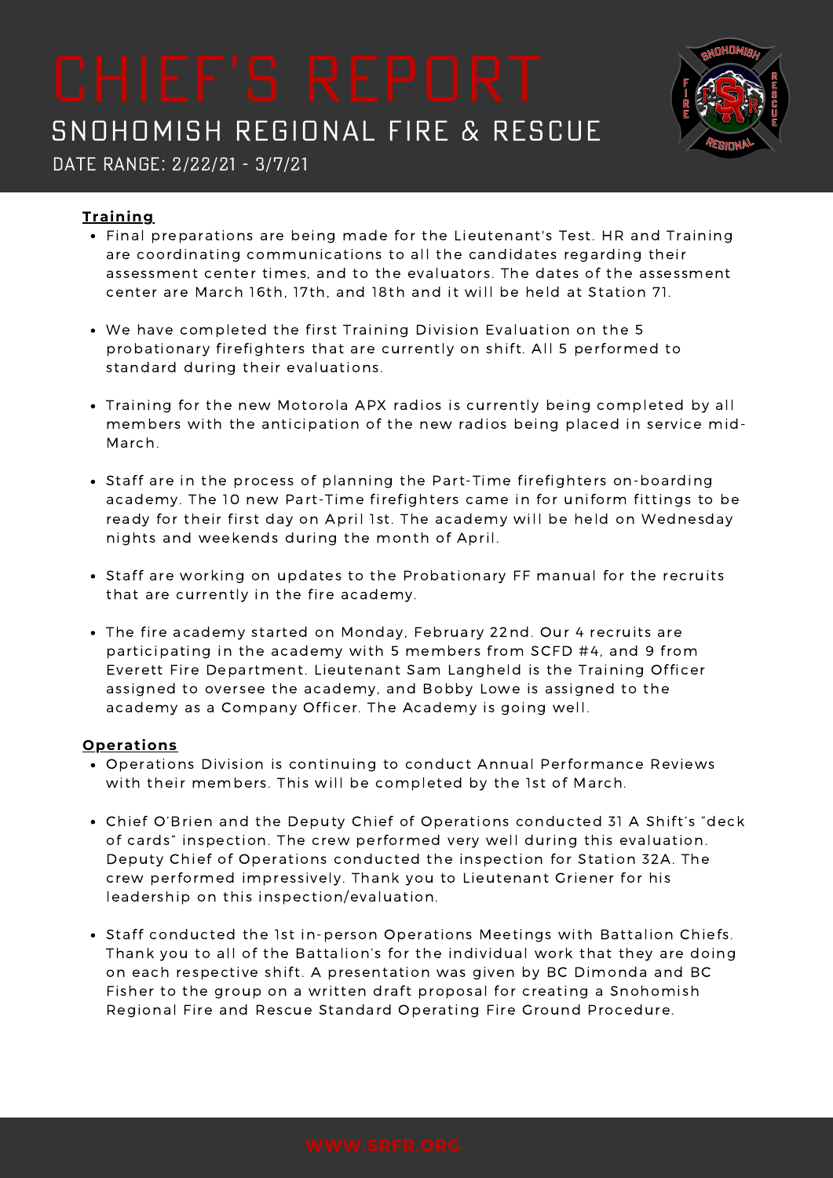

Date Range: 2/22/21 - 3/7/21

### **Training**

- Final preparations are being made for the Lieutenant's Test. HR and Training are coordinating communications to all the candidates regarding their assessment center times, and to the evaluators. The dates of the assessment center are March 16th, 17th, and 18th and it will be held at Station 71.
- We have completed the first Training Division Evaluation on the 5 probationary firefighters that are currently on shift. All 5 performed to standard during their evaluations.
- Training for the new Motorola APX radios is currently being completed by all members with the anticipation of the new radios being placed in service mid-March.
- Staff are in the process of planning the Part-Time firefighters on-boarding academy. The 10 new Part-Time firefighters came in for uniform fittings to be ready for their first day on April 1st. The academy will be held on Wednesday nights and weekends during the month of April.
- Staff are working on updates to the Probationary FF manual for the recruits that are currently in the fire academy.
- The fire academy started on Monday, February 22nd. Our 4 recruits are participating in the academy with 5 members from SCFD #4, and 9 from Everett Fire Department. Lieutenant Sam Langheld is the Training Officer assigned to oversee the academy, and Bobby Lowe is assigned to the academy as a Company Officer. The Academy is going well.

### **Operations**

- Operations Division is continuing to conduct Annual Performance Reviews with their members. This will be completed by the 1st of March.
- Chief O'Brien and the Deputy Chief of Operations conducted 31 A Shift's "deck of cards" inspection. The crew performed very well during this evaluation. Deputy Chief of Operations conducted the inspection for Station 32A. The crew performed impressively. Thank you to Lieutenant Griener for his leadership on this inspection/evaluation.
- Staff conducted the 1st in-person Operations Meetings with Battalion Chiefs. Thank you to all of the Battalion's for the individual work that they are doing on each respective shift. A presentation was given by BC Dimonda and BC Fisher to the group on a written draft proposal for creating a Snohomish Regional Fire and Rescue Standard Operating Fire Ground Procedure.